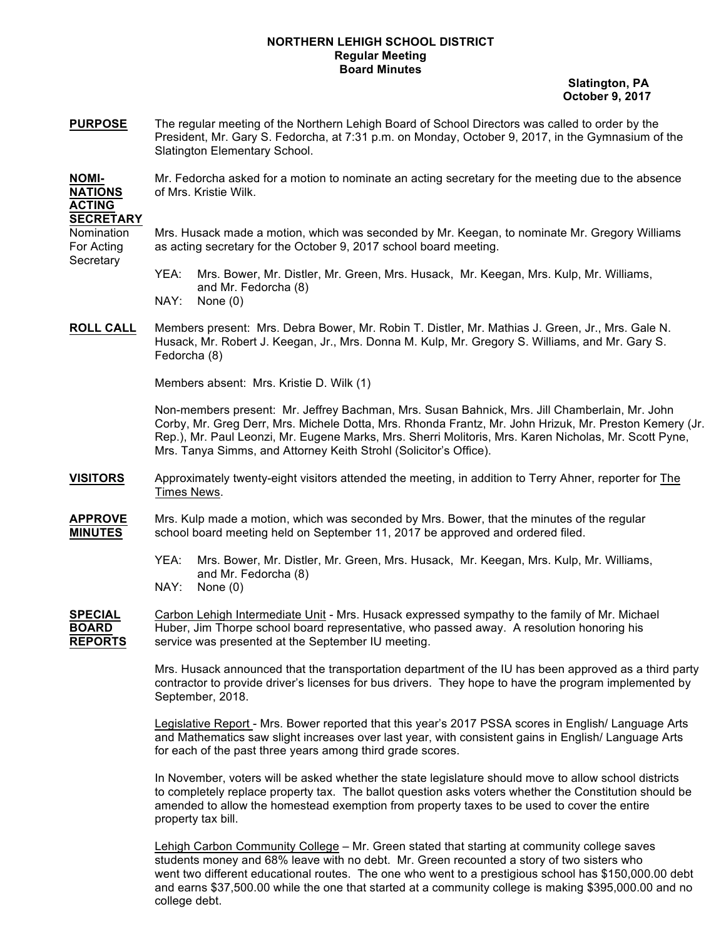## **NORTHERN LEHIGH SCHOOL DISTRICT Regular Meeting Board Minutes**

 **Slatington, PA October 9, 2017**

**PURPOSE** The regular meeting of the Northern Lehigh Board of School Directors was called to order by the President, Mr. Gary S. Fedorcha, at 7:31 p.m. on Monday, October 9, 2017, in the Gymnasium of the Slatington Elementary School.

**NOMI-** Mr. Fedorcha asked for a motion to nominate an acting secretary for the meeting due to the absence **NATIONS** of Mrs. Kristie Wilk.

## **ACTING SECRETARY**

Nomination Mrs. Husack made a motion, which was seconded by Mr. Keegan, to nominate Mr. Gregory Williams For Acting as acting secretary for the October 9, 2017 school board meeting. **Secretary** 

- YEA: Mrs. Bower, Mr. Distler, Mr. Green, Mrs. Husack, Mr. Keegan, Mrs. Kulp, Mr. Williams, and Mr. Fedorcha (8) NAY: None (0)
- **ROLL CALL** Members present: Mrs. Debra Bower, Mr. Robin T. Distler, Mr. Mathias J. Green, Jr., Mrs. Gale N. Husack, Mr. Robert J. Keegan, Jr., Mrs. Donna M. Kulp, Mr. Gregory S. Williams, and Mr. Gary S. Fedorcha (8)

Members absent: Mrs. Kristie D. Wilk (1)

Non-members present: Mr. Jeffrey Bachman, Mrs. Susan Bahnick, Mrs. Jill Chamberlain, Mr. John Corby, Mr. Greg Derr, Mrs. Michele Dotta, Mrs. Rhonda Frantz, Mr. John Hrizuk, Mr. Preston Kemery (Jr. Rep.), Mr. Paul Leonzi, Mr. Eugene Marks, Mrs. Sherri Molitoris, Mrs. Karen Nicholas, Mr. Scott Pyne, Mrs. Tanya Simms, and Attorney Keith Strohl (Solicitor's Office).

- **VISITORS** Approximately twenty-eight visitors attended the meeting, in addition to Terry Ahner, reporter for The Times News.
- **APPROVE** Mrs. Kulp made a motion, which was seconded by Mrs. Bower, that the minutes of the regular **MINUTES** school board meeting held on September 11, 2017 be approved and ordered filed.
	- YEA: Mrs. Bower, Mr. Distler, Mr. Green, Mrs. Husack, Mr. Keegan, Mrs. Kulp, Mr. Williams, and Mr. Fedorcha (8)
	- NAY: None (0)

**SPECIAL** Carbon Lehigh Intermediate Unit - Mrs. Husack expressed sympathy to the family of Mr. Michael **BOARD** Huber, Jim Thorpe school board representative, who passed away. A resolution honoring his **REPORTS** service was presented at the September IU meeting.

> Mrs. Husack announced that the transportation department of the IU has been approved as a third party contractor to provide driver's licenses for bus drivers. They hope to have the program implemented by September, 2018.

Legislative Report - Mrs. Bower reported that this year's 2017 PSSA scores in English/ Language Arts and Mathematics saw slight increases over last year, with consistent gains in English/ Language Arts for each of the past three years among third grade scores.

In November, voters will be asked whether the state legislature should move to allow school districts to completely replace property tax. The ballot question asks voters whether the Constitution should be amended to allow the homestead exemption from property taxes to be used to cover the entire property tax bill.

Lehigh Carbon Community College – Mr. Green stated that starting at community college saves students money and 68% leave with no debt. Mr. Green recounted a story of two sisters who went two different educational routes. The one who went to a prestigious school has \$150,000.00 debt and earns \$37,500.00 while the one that started at a community college is making \$395,000.00 and no college debt.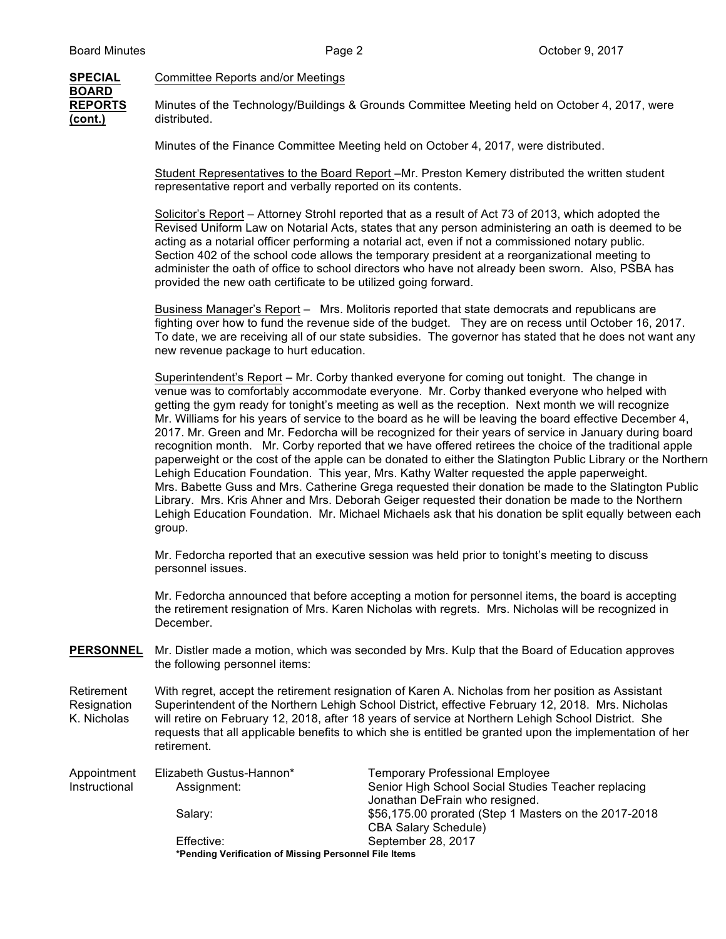## **SPECIAL** Committee Reports and/or Meetings **BOARD**

**REPORTS** Minutes of the Technology/Buildings & Grounds Committee Meeting held on October 4, 2017, were **(cont.)** distributed.

Minutes of the Finance Committee Meeting held on October 4, 2017, were distributed.

Student Representatives to the Board Report –Mr. Preston Kemery distributed the written student representative report and verbally reported on its contents.

Solicitor's Report – Attorney Strohl reported that as a result of Act 73 of 2013, which adopted the Revised Uniform Law on Notarial Acts, states that any person administering an oath is deemed to be acting as a notarial officer performing a notarial act, even if not a commissioned notary public. Section 402 of the school code allows the temporary president at a reorganizational meeting to administer the oath of office to school directors who have not already been sworn. Also, PSBA has provided the new oath certificate to be utilized going forward.

Business Manager's Report – Mrs. Molitoris reported that state democrats and republicans are fighting over how to fund the revenue side of the budget. They are on recess until October 16, 2017. To date, we are receiving all of our state subsidies. The governor has stated that he does not want any new revenue package to hurt education.

Superintendent's Report – Mr. Corby thanked everyone for coming out tonight. The change in venue was to comfortably accommodate everyone. Mr. Corby thanked everyone who helped with getting the gym ready for tonight's meeting as well as the reception. Next month we will recognize Mr. Williams for his years of service to the board as he will be leaving the board effective December 4, 2017. Mr. Green and Mr. Fedorcha will be recognized for their years of service in January during board recognition month. Mr. Corby reported that we have offered retirees the choice of the traditional apple paperweight or the cost of the apple can be donated to either the Slatington Public Library or the Northern Lehigh Education Foundation. This year, Mrs. Kathy Walter requested the apple paperweight. Mrs. Babette Guss and Mrs. Catherine Grega requested their donation be made to the Slatington Public Library. Mrs. Kris Ahner and Mrs. Deborah Geiger requested their donation be made to the Northern Lehigh Education Foundation. Mr. Michael Michaels ask that his donation be split equally between each group.

Mr. Fedorcha reported that an executive session was held prior to tonight's meeting to discuss personnel issues.

Mr. Fedorcha announced that before accepting a motion for personnel items, the board is accepting the retirement resignation of Mrs. Karen Nicholas with regrets. Mrs. Nicholas will be recognized in December.

- **PERSONNEL** Mr. Distler made a motion, which was seconded by Mrs. Kulp that the Board of Education approves the following personnel items:
- Retirement With regret, accept the retirement resignation of Karen A. Nicholas from her position as Assistant Resignation Superintendent of the Northern Lehigh School District, effective February 12, 2018. Mrs. Nicholas K. Nicholas will retire on February 12, 2018, after 18 years of service at Northern Lehigh School District. She requests that all applicable benefits to which she is entitled be granted upon the implementation of her retirement.

| Appointment   | Elizabeth Gustus-Hannon*                              | <b>Temporary Professional Employee</b>                |
|---------------|-------------------------------------------------------|-------------------------------------------------------|
| Instructional | Assignment:                                           | Senior High School Social Studies Teacher replacing   |
|               |                                                       | Jonathan DeFrain who resigned.                        |
|               | Salary:                                               | \$56,175.00 prorated (Step 1 Masters on the 2017-2018 |
|               |                                                       | <b>CBA Salary Schedule)</b>                           |
|               | Effective:                                            | September 28, 2017                                    |
|               | *Pending Verification of Missing Personnel File Items |                                                       |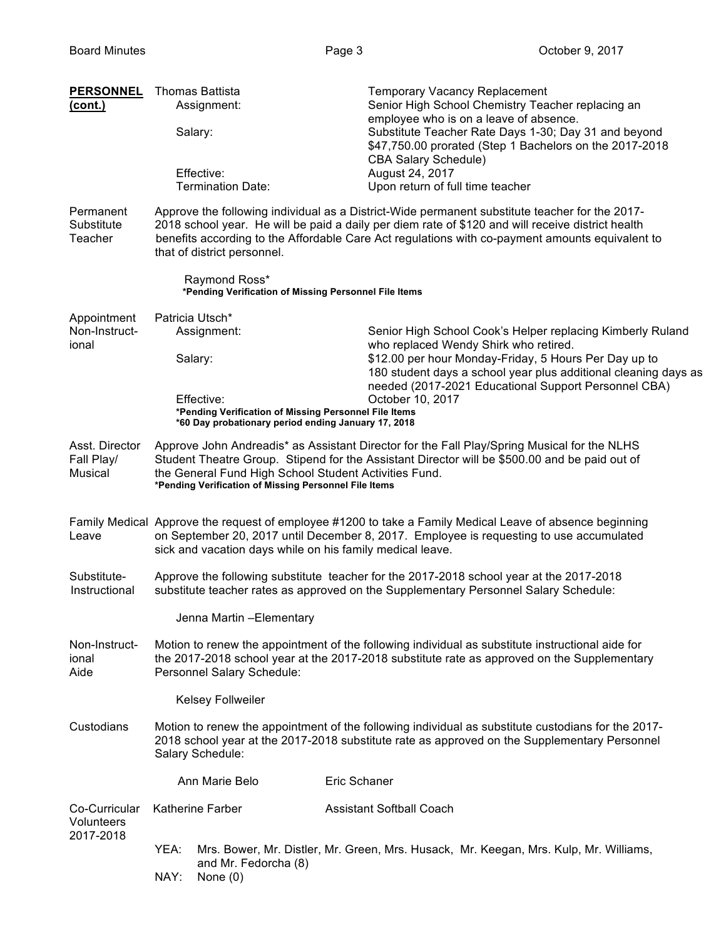| <b>PERSONNEL</b><br><u>(cont.)</u>                                     |                                                                                                                                                                                                                                                                                                                | <b>Thomas Battista</b><br>Assignment:<br>Salary:<br>Effective:<br><b>Termination Date:</b>                                                                                                                                                                                                                                            | <b>Temporary Vacancy Replacement</b><br>Senior High School Chemistry Teacher replacing an<br>employee who is on a leave of absence.<br>Substitute Teacher Rate Days 1-30; Day 31 and beyond<br>\$47,750.00 prorated (Step 1 Bachelors on the 2017-2018<br><b>CBA Salary Schedule)</b><br>August 24, 2017<br>Upon return of full time teacher |  |  |
|------------------------------------------------------------------------|----------------------------------------------------------------------------------------------------------------------------------------------------------------------------------------------------------------------------------------------------------------------------------------------------------------|---------------------------------------------------------------------------------------------------------------------------------------------------------------------------------------------------------------------------------------------------------------------------------------------------------------------------------------|----------------------------------------------------------------------------------------------------------------------------------------------------------------------------------------------------------------------------------------------------------------------------------------------------------------------------------------------|--|--|
| Permanent<br>Substitute<br>Teacher                                     |                                                                                                                                                                                                                                                                                                                | Approve the following individual as a District-Wide permanent substitute teacher for the 2017-<br>2018 school year. He will be paid a daily per diem rate of \$120 and will receive district health<br>benefits according to the Affordable Care Act regulations with co-payment amounts equivalent to<br>that of district personnel. |                                                                                                                                                                                                                                                                                                                                              |  |  |
| Raymond Ross*<br>*Pending Verification of Missing Personnel File Items |                                                                                                                                                                                                                                                                                                                |                                                                                                                                                                                                                                                                                                                                       |                                                                                                                                                                                                                                                                                                                                              |  |  |
| Appointment<br>Non-Instruct-<br>ional                                  |                                                                                                                                                                                                                                                                                                                | Patricia Utsch*<br>Assignment:<br>Salary:<br>Effective:<br>*Pending Verification of Missing Personnel File Items<br>*60 Day probationary period ending January 17, 2018                                                                                                                                                               | Senior High School Cook's Helper replacing Kimberly Ruland<br>who replaced Wendy Shirk who retired.<br>\$12.00 per hour Monday-Friday, 5 Hours Per Day up to<br>180 student days a school year plus additional cleaning days as<br>needed (2017-2021 Educational Support Personnel CBA)<br>October 10, 2017                                  |  |  |
| Asst. Director<br>Fall Play/<br>Musical                                | Approve John Andreadis* as Assistant Director for the Fall Play/Spring Musical for the NLHS<br>Student Theatre Group. Stipend for the Assistant Director will be \$500.00 and be paid out of<br>the General Fund High School Student Activities Fund.<br>*Pending Verification of Missing Personnel File Items |                                                                                                                                                                                                                                                                                                                                       |                                                                                                                                                                                                                                                                                                                                              |  |  |
| Leave                                                                  | Family Medical Approve the request of employee #1200 to take a Family Medical Leave of absence beginning<br>on September 20, 2017 until December 8, 2017. Employee is requesting to use accumulated<br>sick and vacation days while on his family medical leave.                                               |                                                                                                                                                                                                                                                                                                                                       |                                                                                                                                                                                                                                                                                                                                              |  |  |
| Substitute-<br>Instructional                                           | Approve the following substitute teacher for the 2017-2018 school year at the 2017-2018<br>substitute teacher rates as approved on the Supplementary Personnel Salary Schedule:                                                                                                                                |                                                                                                                                                                                                                                                                                                                                       |                                                                                                                                                                                                                                                                                                                                              |  |  |
|                                                                        |                                                                                                                                                                                                                                                                                                                | Jenna Martin - Elementary                                                                                                                                                                                                                                                                                                             |                                                                                                                                                                                                                                                                                                                                              |  |  |
| Non-Instruct-<br>ional<br>Aide                                         | Motion to renew the appointment of the following individual as substitute instructional aide for<br>the 2017-2018 school year at the 2017-2018 substitute rate as approved on the Supplementary<br>Personnel Salary Schedule:                                                                                  |                                                                                                                                                                                                                                                                                                                                       |                                                                                                                                                                                                                                                                                                                                              |  |  |
|                                                                        |                                                                                                                                                                                                                                                                                                                | Kelsey Follweiler                                                                                                                                                                                                                                                                                                                     |                                                                                                                                                                                                                                                                                                                                              |  |  |
| Custodians                                                             | Salary Schedule:                                                                                                                                                                                                                                                                                               |                                                                                                                                                                                                                                                                                                                                       | Motion to renew the appointment of the following individual as substitute custodians for the 2017-<br>2018 school year at the 2017-2018 substitute rate as approved on the Supplementary Personnel                                                                                                                                           |  |  |
|                                                                        |                                                                                                                                                                                                                                                                                                                | Ann Marie Belo                                                                                                                                                                                                                                                                                                                        | Eric Schaner                                                                                                                                                                                                                                                                                                                                 |  |  |
| Co-Curricular<br>Volunteers<br>2017-2018                               |                                                                                                                                                                                                                                                                                                                | <b>Katherine Farber</b>                                                                                                                                                                                                                                                                                                               | <b>Assistant Softball Coach</b>                                                                                                                                                                                                                                                                                                              |  |  |
|                                                                        | YEA:<br>NAY:                                                                                                                                                                                                                                                                                                   | and Mr. Fedorcha (8)<br>None $(0)$                                                                                                                                                                                                                                                                                                    | Mrs. Bower, Mr. Distler, Mr. Green, Mrs. Husack, Mr. Keegan, Mrs. Kulp, Mr. Williams,                                                                                                                                                                                                                                                        |  |  |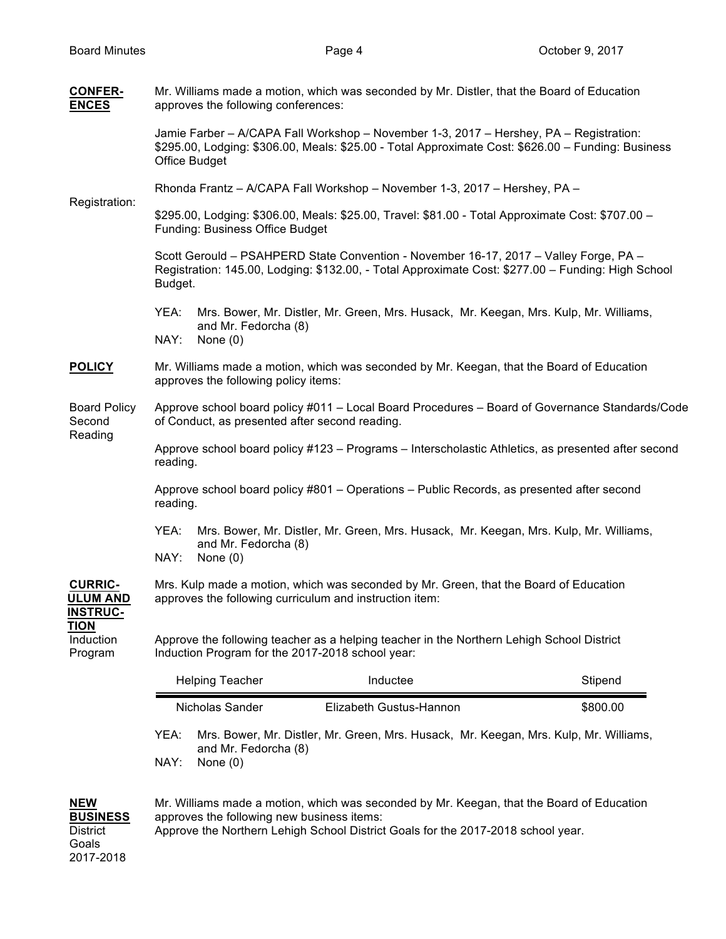2017-2018

| <b>CONFER-</b><br><b>ENCES</b>                            | Mr. Williams made a motion, which was seconded by Mr. Distler, that the Board of Education<br>approves the following conferences:                                                                                           |                                                                                       |                                                                                                                                                                                             |                                                                                                    |  |
|-----------------------------------------------------------|-----------------------------------------------------------------------------------------------------------------------------------------------------------------------------------------------------------------------------|---------------------------------------------------------------------------------------|---------------------------------------------------------------------------------------------------------------------------------------------------------------------------------------------|----------------------------------------------------------------------------------------------------|--|
|                                                           | Jamie Farber - A/CAPA Fall Workshop - November 1-3, 2017 - Hershey, PA - Registration:<br>\$295.00, Lodging: \$306.00, Meals: \$25.00 - Total Approximate Cost: \$626.00 - Funding: Business<br>Office Budget               |                                                                                       |                                                                                                                                                                                             |                                                                                                    |  |
|                                                           | Rhonda Frantz - A/CAPA Fall Workshop - November 1-3, 2017 - Hershey, PA -                                                                                                                                                   |                                                                                       |                                                                                                                                                                                             |                                                                                                    |  |
| Registration:                                             | \$295.00, Lodging: \$306.00, Meals: \$25.00, Travel: \$81.00 - Total Approximate Cost: \$707.00 -<br>Funding: Business Office Budget                                                                                        |                                                                                       |                                                                                                                                                                                             |                                                                                                    |  |
|                                                           | Budget.                                                                                                                                                                                                                     |                                                                                       | Scott Gerould - PSAHPERD State Convention - November 16-17, 2017 - Valley Forge, PA -<br>Registration: 145.00, Lodging: \$132.00, - Total Approximate Cost: \$277.00 - Funding: High School |                                                                                                    |  |
|                                                           | YEA:<br>NAY:                                                                                                                                                                                                                | and Mr. Fedorcha (8)<br>None $(0)$                                                    | Mrs. Bower, Mr. Distler, Mr. Green, Mrs. Husack, Mr. Keegan, Mrs. Kulp, Mr. Williams,                                                                                                       |                                                                                                    |  |
| <b>POLICY</b>                                             |                                                                                                                                                                                                                             | approves the following policy items:                                                  | Mr. Williams made a motion, which was seconded by Mr. Keegan, that the Board of Education                                                                                                   |                                                                                                    |  |
| <b>Board Policy</b><br>Second<br>Reading                  | Approve school board policy #011 - Local Board Procedures - Board of Governance Standards/Code<br>of Conduct, as presented after second reading.                                                                            |                                                                                       |                                                                                                                                                                                             |                                                                                                    |  |
|                                                           | reading.                                                                                                                                                                                                                    |                                                                                       |                                                                                                                                                                                             | Approve school board policy #123 - Programs - Interscholastic Athletics, as presented after second |  |
|                                                           | Approve school board policy #801 - Operations - Public Records, as presented after second<br>reading.                                                                                                                       |                                                                                       |                                                                                                                                                                                             |                                                                                                    |  |
|                                                           | YEA:<br>NAY:                                                                                                                                                                                                                | and Mr. Fedorcha (8)<br>None $(0)$                                                    | Mrs. Bower, Mr. Distler, Mr. Green, Mrs. Husack, Mr. Keegan, Mrs. Kulp, Mr. Williams,                                                                                                       |                                                                                                    |  |
| <b>CURRIC-</b><br><b>ULUM AND</b><br><b>INSTRUC-</b>      | Mrs. Kulp made a motion, which was seconded by Mr. Green, that the Board of Education<br>approves the following curriculum and instruction item:                                                                            |                                                                                       |                                                                                                                                                                                             |                                                                                                    |  |
| <b>TION</b><br>Induction<br>Program                       | Approve the following teacher as a helping teacher in the Northern Lehigh School District<br>Induction Program for the 2017-2018 school year:                                                                               |                                                                                       |                                                                                                                                                                                             |                                                                                                    |  |
|                                                           |                                                                                                                                                                                                                             | <b>Helping Teacher</b>                                                                | Inductee                                                                                                                                                                                    | Stipend                                                                                            |  |
|                                                           |                                                                                                                                                                                                                             | Nicholas Sander                                                                       | Elizabeth Gustus-Hannon                                                                                                                                                                     | \$800.00                                                                                           |  |
|                                                           | YEA:                                                                                                                                                                                                                        | Mrs. Bower, Mr. Distler, Mr. Green, Mrs. Husack, Mr. Keegan, Mrs. Kulp, Mr. Williams, |                                                                                                                                                                                             |                                                                                                    |  |
|                                                           | NAY:                                                                                                                                                                                                                        | and Mr. Fedorcha (8)<br>None $(0)$                                                    |                                                                                                                                                                                             |                                                                                                    |  |
| <b>NEW</b><br><b>BUSINESS</b><br><b>District</b><br>Goals | Mr. Williams made a motion, which was seconded by Mr. Keegan, that the Board of Education<br>approves the following new business items:<br>Approve the Northern Lehigh School District Goals for the 2017-2018 school year. |                                                                                       |                                                                                                                                                                                             |                                                                                                    |  |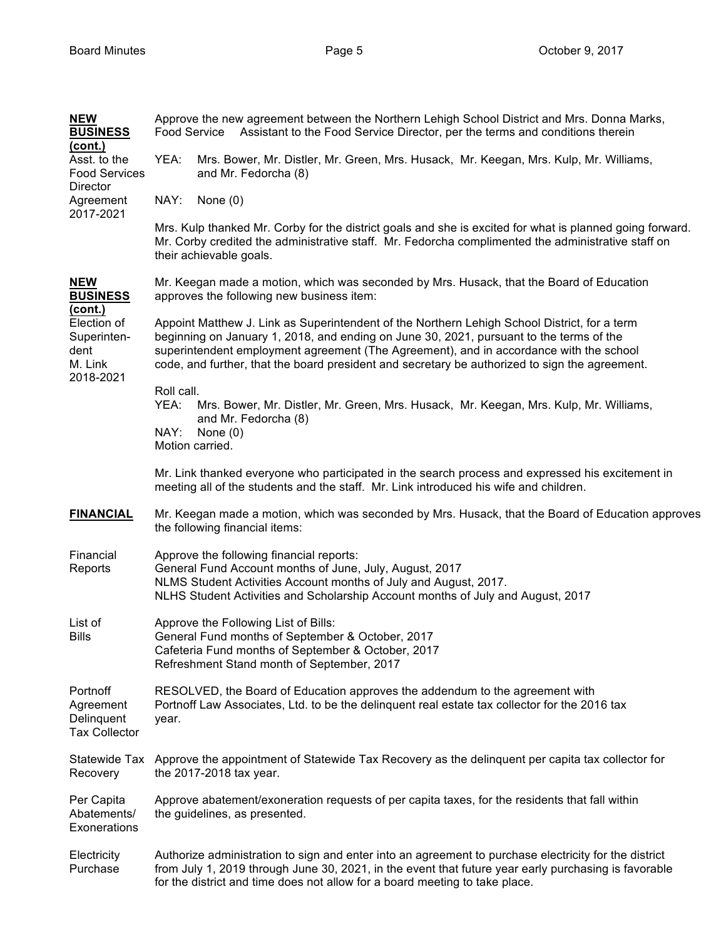| <b>NEW</b><br><b>BUSINESS</b>                                                                                 | Approve the new agreement between the Northern Lehigh School District and Mrs. Donna Marks,<br>Food Service<br>Assistant to the Food Service Director, per the terms and conditions therein                                                                                                                                                                                         |  |  |  |
|---------------------------------------------------------------------------------------------------------------|-------------------------------------------------------------------------------------------------------------------------------------------------------------------------------------------------------------------------------------------------------------------------------------------------------------------------------------------------------------------------------------|--|--|--|
| <u>(cont.)</u><br>Asst. to the<br><b>Food Services</b>                                                        | YEA:<br>Mrs. Bower, Mr. Distler, Mr. Green, Mrs. Husack, Mr. Keegan, Mrs. Kulp, Mr. Williams,<br>and Mr. Fedorcha (8)                                                                                                                                                                                                                                                               |  |  |  |
| Director<br>Agreement                                                                                         | NAY:<br>None $(0)$                                                                                                                                                                                                                                                                                                                                                                  |  |  |  |
| 2017-2021                                                                                                     | Mrs. Kulp thanked Mr. Corby for the district goals and she is excited for what is planned going forward.<br>Mr. Corby credited the administrative staff. Mr. Fedorcha complimented the administrative staff on<br>their achievable goals.                                                                                                                                           |  |  |  |
| <b>NEW</b><br><b>BUSINESS</b><br><u>(cont.)</u><br>Election of<br>Superinten-<br>dent<br>M. Link<br>2018-2021 | Mr. Keegan made a motion, which was seconded by Mrs. Husack, that the Board of Education<br>approves the following new business item:                                                                                                                                                                                                                                               |  |  |  |
|                                                                                                               | Appoint Matthew J. Link as Superintendent of the Northern Lehigh School District, for a term<br>beginning on January 1, 2018, and ending on June 30, 2021, pursuant to the terms of the<br>superintendent employment agreement (The Agreement), and in accordance with the school<br>code, and further, that the board president and secretary be authorized to sign the agreement. |  |  |  |
|                                                                                                               | Roll call.<br>YEA:<br>Mrs. Bower, Mr. Distler, Mr. Green, Mrs. Husack, Mr. Keegan, Mrs. Kulp, Mr. Williams,<br>and Mr. Fedorcha (8)<br>NAY:<br>None $(0)$<br>Motion carried.                                                                                                                                                                                                        |  |  |  |
|                                                                                                               | Mr. Link thanked everyone who participated in the search process and expressed his excitement in<br>meeting all of the students and the staff. Mr. Link introduced his wife and children.                                                                                                                                                                                           |  |  |  |
| <b>FINANCIAL</b>                                                                                              | Mr. Keegan made a motion, which was seconded by Mrs. Husack, that the Board of Education approves<br>the following financial items:                                                                                                                                                                                                                                                 |  |  |  |
| Financial<br>Reports                                                                                          | Approve the following financial reports:<br>General Fund Account months of June, July, August, 2017<br>NLMS Student Activities Account months of July and August, 2017.<br>NLHS Student Activities and Scholarship Account months of July and August, 2017                                                                                                                          |  |  |  |
| List of<br>Bills                                                                                              | Approve the Following List of Bills:<br>General Fund months of September & October, 2017<br>Cafeteria Fund months of September & October, 2017<br>Refreshment Stand month of September, 2017                                                                                                                                                                                        |  |  |  |
| Portnoff<br>Agreement<br>Delinquent<br><b>Tax Collector</b>                                                   | RESOLVED, the Board of Education approves the addendum to the agreement with<br>Portnoff Law Associates, Ltd. to be the delinquent real estate tax collector for the 2016 tax<br>year.                                                                                                                                                                                              |  |  |  |
| Statewide Tax<br>Recovery                                                                                     | Approve the appointment of Statewide Tax Recovery as the delinguent per capita tax collector for<br>the 2017-2018 tax year.                                                                                                                                                                                                                                                         |  |  |  |
| Per Capita<br>Abatements/<br>Exonerations                                                                     | Approve abatement/exoneration requests of per capita taxes, for the residents that fall within<br>the guidelines, as presented.                                                                                                                                                                                                                                                     |  |  |  |
| Electricity<br>Purchase                                                                                       | Authorize administration to sign and enter into an agreement to purchase electricity for the district<br>from July 1, 2019 through June 30, 2021, in the event that future year early purchasing is favorable<br>for the district and time does not allow for a board meeting to take place.                                                                                        |  |  |  |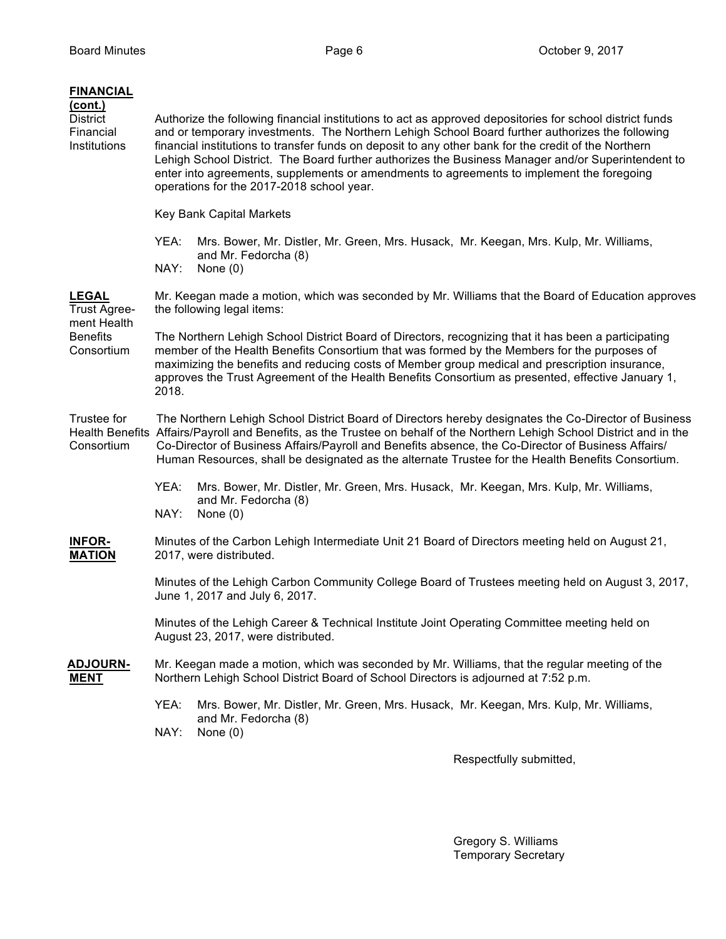| <b>FINANCIAL</b><br><u>(cont.)</u><br><b>District</b><br>Financial<br>Institutions  | Authorize the following financial institutions to act as approved depositories for school district funds<br>and or temporary investments. The Northern Lehigh School Board further authorizes the following<br>financial institutions to transfer funds on deposit to any other bank for the credit of the Northern<br>Lehigh School District. The Board further authorizes the Business Manager and/or Superintendent to<br>enter into agreements, supplements or amendments to agreements to implement the foregoing<br>operations for the 2017-2018 school year. |                                                                                                                             |  |  |  |
|-------------------------------------------------------------------------------------|---------------------------------------------------------------------------------------------------------------------------------------------------------------------------------------------------------------------------------------------------------------------------------------------------------------------------------------------------------------------------------------------------------------------------------------------------------------------------------------------------------------------------------------------------------------------|-----------------------------------------------------------------------------------------------------------------------------|--|--|--|
|                                                                                     | Key Bank Capital Markets                                                                                                                                                                                                                                                                                                                                                                                                                                                                                                                                            |                                                                                                                             |  |  |  |
|                                                                                     | YEA:                                                                                                                                                                                                                                                                                                                                                                                                                                                                                                                                                                | Mrs. Bower, Mr. Distler, Mr. Green, Mrs. Husack, Mr. Keegan, Mrs. Kulp, Mr. Williams,                                       |  |  |  |
|                                                                                     | NAY:                                                                                                                                                                                                                                                                                                                                                                                                                                                                                                                                                                | and Mr. Fedorcha (8)<br>None $(0)$                                                                                          |  |  |  |
| <b>LEGAL</b><br><b>Trust Agree-</b><br>ment Health<br><b>Benefits</b><br>Consortium | Mr. Keegan made a motion, which was seconded by Mr. Williams that the Board of Education approves<br>the following legal items:                                                                                                                                                                                                                                                                                                                                                                                                                                     |                                                                                                                             |  |  |  |
|                                                                                     | The Northern Lehigh School District Board of Directors, recognizing that it has been a participating<br>member of the Health Benefits Consortium that was formed by the Members for the purposes of<br>maximizing the benefits and reducing costs of Member group medical and prescription insurance,<br>approves the Trust Agreement of the Health Benefits Consortium as presented, effective January 1,<br>2018.                                                                                                                                                 |                                                                                                                             |  |  |  |
| Trustee for<br>Consortium                                                           | The Northern Lehigh School District Board of Directors hereby designates the Co-Director of Business<br>Health Benefits Affairs/Payroll and Benefits, as the Trustee on behalf of the Northern Lehigh School District and in the<br>Co-Director of Business Affairs/Payroll and Benefits absence, the Co-Director of Business Affairs/<br>Human Resources, shall be designated as the alternate Trustee for the Health Benefits Consortium.                                                                                                                         |                                                                                                                             |  |  |  |
|                                                                                     | YEA:<br>NAY:                                                                                                                                                                                                                                                                                                                                                                                                                                                                                                                                                        | Mrs. Bower, Mr. Distler, Mr. Green, Mrs. Husack, Mr. Keegan, Mrs. Kulp, Mr. Williams,<br>and Mr. Fedorcha (8)<br>None $(0)$ |  |  |  |
| <b>INFOR-</b><br><b>MATION</b>                                                      | Minutes of the Carbon Lehigh Intermediate Unit 21 Board of Directors meeting held on August 21,<br>2017, were distributed.                                                                                                                                                                                                                                                                                                                                                                                                                                          |                                                                                                                             |  |  |  |
|                                                                                     | Minutes of the Lehigh Carbon Community College Board of Trustees meeting held on August 3, 2017,<br>June 1, 2017 and July 6, 2017.                                                                                                                                                                                                                                                                                                                                                                                                                                  |                                                                                                                             |  |  |  |
|                                                                                     | Minutes of the Lehigh Career & Technical Institute Joint Operating Committee meeting held on<br>August 23, 2017, were distributed.                                                                                                                                                                                                                                                                                                                                                                                                                                  |                                                                                                                             |  |  |  |
| <b>ADJOURN-</b><br><b>MENT</b>                                                      | Mr. Keegan made a motion, which was seconded by Mr. Williams, that the regular meeting of the<br>Northern Lehigh School District Board of School Directors is adjourned at 7:52 p.m.                                                                                                                                                                                                                                                                                                                                                                                |                                                                                                                             |  |  |  |
|                                                                                     | YEA:<br>NAY:                                                                                                                                                                                                                                                                                                                                                                                                                                                                                                                                                        | Mrs. Bower, Mr. Distler, Mr. Green, Mrs. Husack, Mr. Keegan, Mrs. Kulp, Mr. Williams,<br>and Mr. Fedorcha (8)<br>None $(0)$ |  |  |  |

Respectfully submitted,

Gregory S. Williams Temporary Secretary